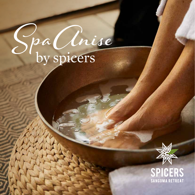# Spa Cinise



SPICERS **SANGOMA RETREAT**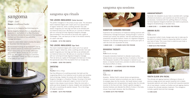Welcome to the Sangoma Spa Anise experience.

Spicers Sangoma Retreat offers an unequalled spa experience in the foothills of the Blue Mountains. Our treatments embody the essence of the Australian bushland and the artistry of our restorative massage techniques.

Escape to a place where nature provides the space to disconnect from the busy world.

We recommend booking all spa treatments prior to your arrival to ensure you receive your desired time. Please arrive at the spa 10 minutes before your appointment. Mobile phones are not permitted in the spa. We suggest you bring your swimmers, wear comfortable clothing and leave all valuables in the safety of your room.



# sangoma

#### *(Origin - Zulu)* **Noun:** a traditional healer

#### **THE LOVERS INDULGENCE (Suite Service)**

The perfect indulgence in the privacy of your suite. This decadent lover's treatment begins with a warm pot of our special blend of organic herbal tea, while a soothing aromatic foot soak awaits! Invigorate your tired legs and feet as we exfoliate with our botanical body scrub. We take you on a journey of stillness with our nurturing full body Signature Sangoma massage. Stay enchanted in the surrounds of the bush with a glass of Champagne. Then, we leave you to float in the blissful serenity of a warm milk bath.

**1.5 HOURS - \$715 PER COUPLE**

#### **THE LOVERS INDULGENCE (Spa Tent)**

This lover's treatment begins with a warm pot of our special blend of organic herbal tea, while a soothing aromatic foot soak awaits! Invigorate your tired legs and feet as we exfoliate with our botanical body scrub. We take you on a journey of stillness with our nurturing full body Signature Sangoma massage. Then we serve you a glass of Champagne and leave you to enjoy the spectacular view of the city skyline from our lounge area.

**1.5 HOURS - \$595 PER COUPLE**

#### **ZINTATHU**

b

一

*Zulu*

**Number:** three, trilogy

Feel the difference of a soothing aromatic foot bath and the invigorating effects of our botanical scrub to polish and revitalise tired aching legs. Awaken the senses with a blissful Signature Sangoma massage or a Dovadova Therapy, focusing on the back, neck and shoulders using warm organic coconut oil and hot towels to help release muscle tension. Relax the mind with a petite-spa facial designed to cleanse, brighten and revitalise the skin with a nourishing silk peptide masque. This is the trilogy of Sangoma sessions.

**1.5 HOURS - \$275 PER PERSON**

# sangoma spa rituals

# sangoma spa sessions



#### **SIGNATURE SANGOMA MASSAGE**

Experience the quintessence of traditional healing practices with contemporary massage techniques, flowing through in unison to immerse your senses into stillness. Feel the restorative dynamic movements and gentle rhythmic motion of a Signature Sangoma Treatment, the ultimate healing session to nurture your spirit, to calm the mind and rejuvenate the body.

**1 HOUR \$185 | 1.5 HOURS \$255 PER PERSON**

#### **DOVADOVA THERAPY**

*Zulu*

**Verb:** knead, massage

A bespoke restorative treatment to alleviate muscle aches, release tension and encourage the flow of nutrients in the body. The therapeutic benefits of this bodywork is tailored to your desire, to improve muscle tone, promote circulation and decrease the physical effects of stress.

**1 HOUR \$185 | 1.5 HOURS \$255 PER PERSON**

#### **ESSENCE OF AMATSHE**

*Zulu*

**Verb:** stone

Amatshe - Mother Earth's natural stones and gemstones, infused in aromatic botanical emollients are used to release its energies deep into the muscles. Hot basalt stones to ease muscle tightness and cold gemstones to gently relax the intricate muscles on the face and neck. Overall a gentle massage to dissolve tiredness and alleviate the effects of stress in the body. Let go of your body's tensions, feel the difference.

**1.5 HOURS \$275 PER PERSON**

# **AMAKHATHERAPY**

Surrender into relaxation as your body is anointed with a synergy of botanical emulsions, pure essential oils and the opulence of oil absolutes. Combined with the uplifting effects of a flowing full body Signature Sangoma treatment and restful acupressure, Sangoma Amakhatherapy is decadent bliss.

#### **1 HOUR \$185 | 1.5 HOURS \$255 PER PERSON**

## **UMAMA BLISS**

*Zulu*

**Verb:** mother

An expectant mother's body changes every day to make way for the birth of a miracle! Umama is reassuring mother to nurture your back of body. This is your time to unwind as your body is lulled into a sense of stillness.

#### **1 HOUR \$210 PER PERSON**



## **YOUTH ELIXIR SPA FACIAL**

The ultimate anti-ageing treatment offering an infusion of precious omega serums and opulent essential oils to deeply rejuvenate replenish and renew. Enriched with exquisite essential oils of rose balsam, crushed nut butters and anti-ageing vitamins to deliver the ultimate hydration treatment. This indulgence includes a gentle hand and foot massage.

#### **1.5 HRS \$255**